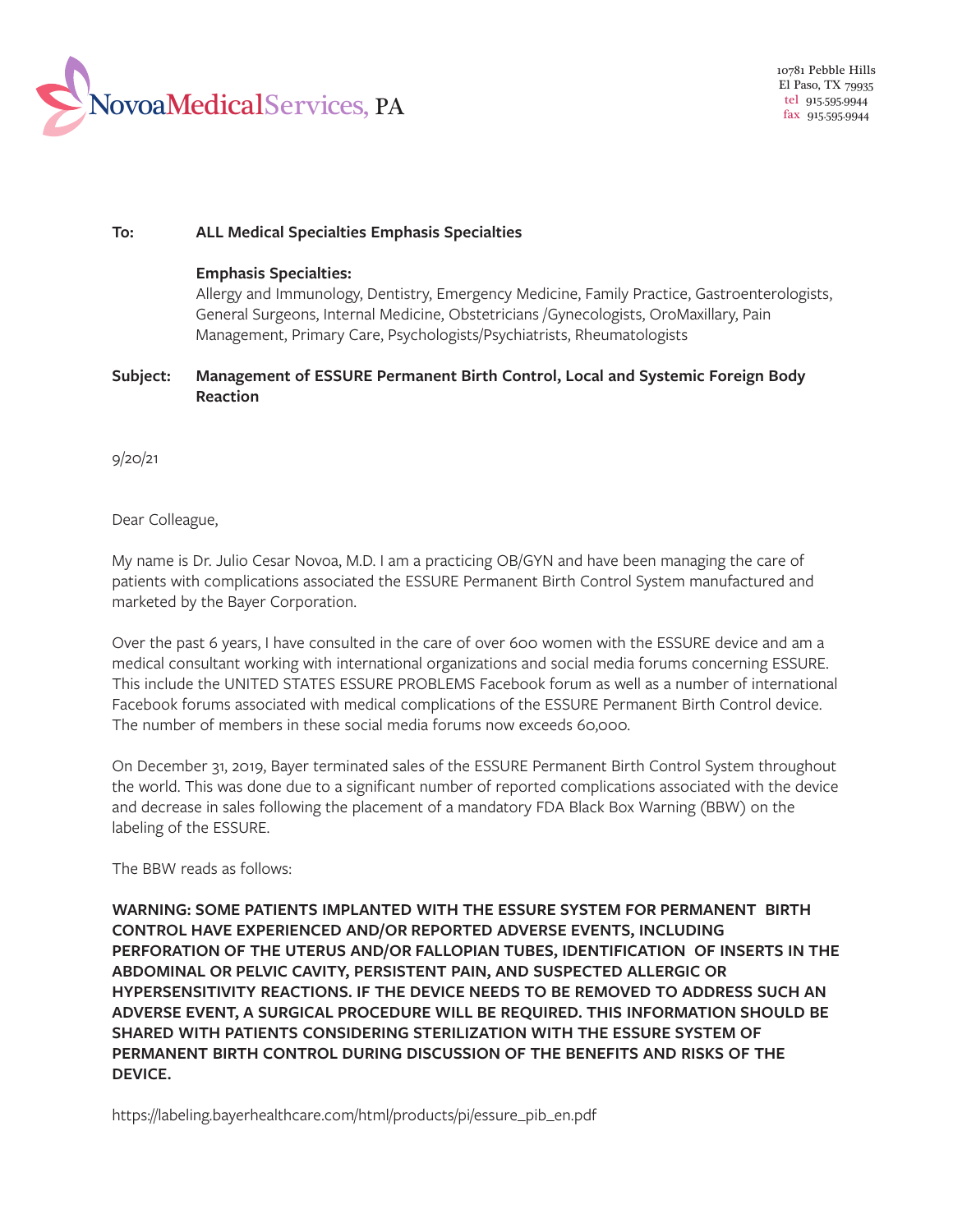

## **To: ALL Medical Specialties Emphasis Specialties**

## **Emphasis Specialties:**

Allergy and Immunology, Dentistry, Emergency Medicine, Family Practice, Gastroenterologists, General Surgeons, Internal Medicine, Obstetricians /Gynecologists, OroMaxillary, Pain Management, Primary Care, Psychologists/Psychiatrists, Rheumatologists

## **Subject: Management of ESSURE Permanent Birth Control, Local and Systemic Foreign Body Reaction**

9/20/21

Dear Colleague,

My name is Dr. Julio Cesar Novoa, M.D. I am a practicing OB/GYN and have been managing the care of patients with complications associated the ESSURE Permanent Birth Control System manufactured and marketed by the Bayer Corporation.

Over the past 6 years, I have consulted in the care of over 600 women with the ESSURE device and am a medical consultant working with international organizations and social media forums concerning ESSURE. This include the UNITED STATES ESSURE PROBLEMS Facebook forum as well as a number of international Facebook forums associated with medical complications of the ESSURE Permanent Birth Control device. The number of members in these social media forums now exceeds 60,000.

On December 31, 2019, Bayer terminated sales of the ESSURE Permanent Birth Control System throughout the world. This was done due to a significant number of reported complications associated with the device and decrease in sales following the placement of a mandatory FDA Black Box Warning (BBW) on the labeling of the ESSURE.

The BBW reads as follows:

**WARNING: SOME PATIENTS IMPLANTED WITH THE ESSURE SYSTEM FOR PERMANENT BIRTH CONTROL HAVE EXPERIENCED AND/OR REPORTED ADVERSE EVENTS, INCLUDING PERFORATION OF THE UTERUS AND/OR FALLOPIAN TUBES, IDENTIFICATION OF INSERTS IN THE ABDOMINAL OR PELVIC CAVITY, PERSISTENT PAIN, AND SUSPECTED ALLERGIC OR HYPERSENSITIVITY REACTIONS. IF THE DEVICE NEEDS TO BE REMOVED TO ADDRESS SUCH AN ADVERSE EVENT, A SURGICAL PROCEDURE WILL BE REQUIRED. THIS INFORMATION SHOULD BE SHARED WITH PATIENTS CONSIDERING STERILIZATION WITH THE ESSURE SYSTEM OF PERMANENT BIRTH CONTROL DURING DISCUSSION OF THE BENEFITS AND RISKS OF THE DEVICE.** 

[https://labeling.bayerhealthcare.com/html/products/pi/essure\\_pib\\_en.pdf](https://labeling.bayerhealthcare.com/html/products/pi/essure_pib_en.pdf)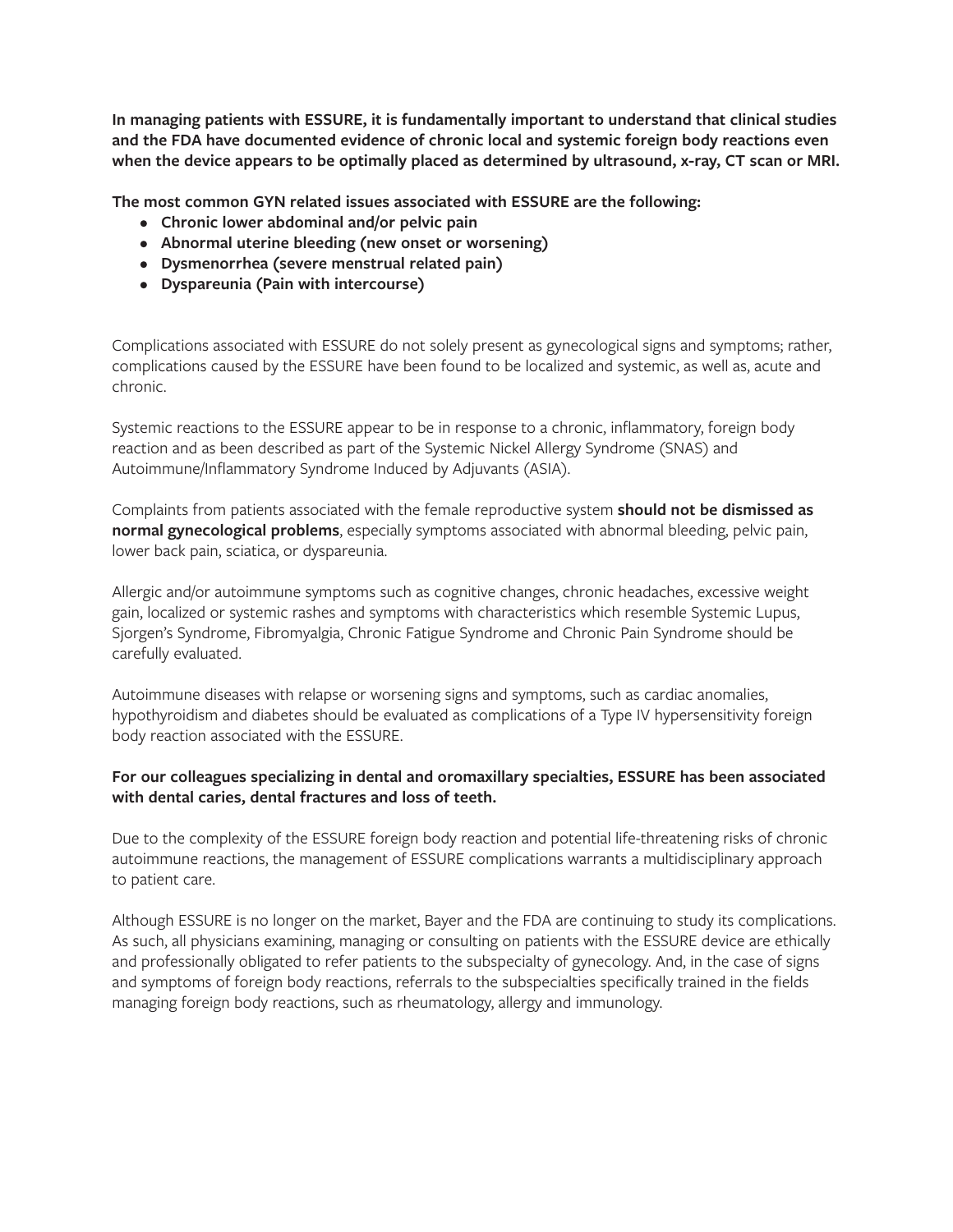**In managing patients with ESSURE, it is fundamentally important to understand that clinical studies and the FDA have documented evidence of chronic local and systemic foreign body reactions even when the device appears to be optimally placed as determined by ultrasound, x-ray, CT scan or MRI.** 

**The most common GYN related issues associated with ESSURE are the following:** 

- **Chronic lower abdominal and/or pelvic pain**
- **Abnormal uterine bleeding (new onset or worsening)**
- **Dysmenorrhea (severe menstrual related pain)**
- **Dyspareunia (Pain with intercourse)**

Complications associated with ESSURE do not solely present as gynecological signs and symptoms; rather, complications caused by the ESSURE have been found to be localized and systemic, as well as, acute and chronic.

Systemic reactions to the ESSURE appear to be in response to a chronic, inflammatory, foreign body reaction and as been described as part of the Systemic Nickel Allergy Syndrome (SNAS) and Autoimmune/Inflammatory Syndrome Induced by Adjuvants (ASIA).

Complaints from patients associated with the female reproductive system **should not be dismissed as normal gynecological problems**, especially symptoms associated with abnormal bleeding, pelvic pain, lower back pain, sciatica, or dyspareunia.

Allergic and/or autoimmune symptoms such as cognitive changes, chronic headaches, excessive weight gain, localized or systemic rashes and symptoms with characteristics which resemble Systemic Lupus, Sjorgen's Syndrome, Fibromyalgia, Chronic Fatigue Syndrome and Chronic Pain Syndrome should be carefully evaluated.

Autoimmune diseases with relapse or worsening signs and symptoms, such as cardiac anomalies, hypothyroidism and diabetes should be evaluated as complications of a Type IV hypersensitivity foreign body reaction associated with the ESSURE.

## **For our colleagues specializing in dental and oromaxillary specialties, ESSURE has been associated with dental caries, dental fractures and loss of teeth.**

Due to the complexity of the ESSURE foreign body reaction and potential life-threatening risks of chronic autoimmune reactions, the management of ESSURE complications warrants a multidisciplinary approach to patient care.

Although ESSURE is no longer on the market, Bayer and the FDA are continuing to study its complications. As such, all physicians examining, managing or consulting on patients with the ESSURE device are ethically and professionally obligated to refer patients to the subspecialty of gynecology. And, in the case of signs and symptoms of foreign body reactions, referrals to the subspecialties specifically trained in the fields managing foreign body reactions, such as rheumatology, allergy and immunology.